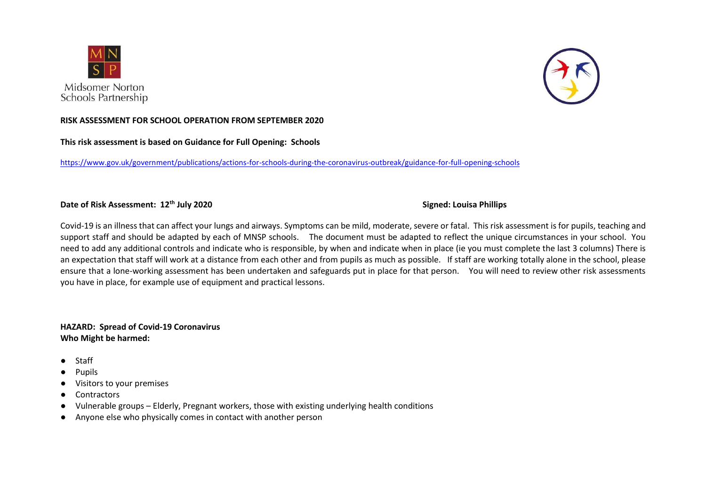



### **RISK ASSESSMENT FOR SCHOOL OPERATION FROM SEPTEMBER 2020**

## **This risk assessment is based on Guidance for Full Opening: Schools**

<https://www.gov.uk/government/publications/actions-for-schools-during-the-coronavirus-outbreak/guidance-for-full-opening-schools>

# **Date of Risk Assessment: 12th July 2020 Signed: Louisa Phillips**

Covid-19 is an illness that can affect your lungs and airways. Symptoms can be mild, moderate, severe or fatal. This risk assessment is for pupils, teaching and support staff and should be adapted by each of MNSP schools. The document must be adapted to reflect the unique circumstances in your school. You need to add any additional controls and indicate who is responsible, by when and indicate when in place (ie you must complete the last 3 columns) There is an expectation that staff will work at a distance from each other and from pupils as much as possible. If staff are working totally alone in the school, please ensure that a lone-working assessment has been undertaken and safeguards put in place for that person. You will need to review other risk assessments you have in place, for example use of equipment and practical lessons.

## **HAZARD: Spread of Covid-19 Coronavirus Who Might be harmed:**

- Staff
- **Pupils**
- Visitors to your premises
- Contractors
- Vulnerable groups Elderly, Pregnant workers, those with existing underlying health conditions
- Anyone else who physically comes in contact with another person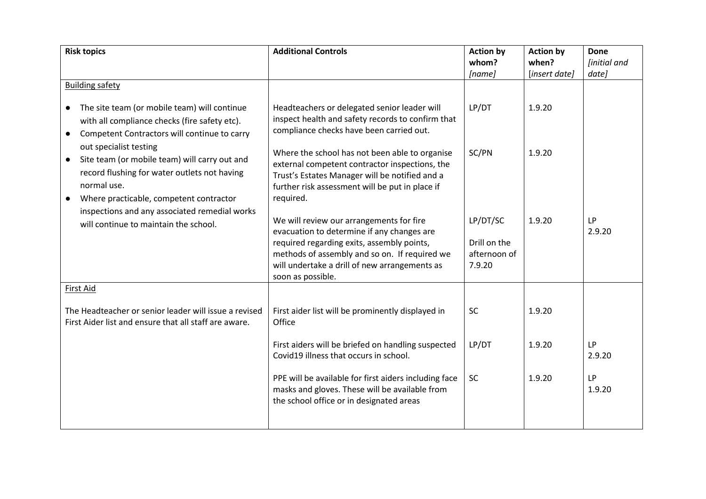| <b>Risk topics</b>                                                                                                                                                                                                                              | <b>Additional Controls</b>                                                                                                                                                                                                                                  | <b>Action by</b>                                   | <b>Action by</b>       | <b>Done</b>           |
|-------------------------------------------------------------------------------------------------------------------------------------------------------------------------------------------------------------------------------------------------|-------------------------------------------------------------------------------------------------------------------------------------------------------------------------------------------------------------------------------------------------------------|----------------------------------------------------|------------------------|-----------------------|
|                                                                                                                                                                                                                                                 |                                                                                                                                                                                                                                                             | whom?<br>[name]                                    | when?<br>[insert date] | [initial and<br>date] |
| <b>Building safety</b>                                                                                                                                                                                                                          |                                                                                                                                                                                                                                                             |                                                    |                        |                       |
| The site team (or mobile team) will continue<br>$\bullet$<br>with all compliance checks (fire safety etc).<br>Competent Contractors will continue to carry<br>$\bullet$                                                                         | Headteachers or delegated senior leader will<br>inspect health and safety records to confirm that<br>compliance checks have been carried out.                                                                                                               | LP/DT                                              | 1.9.20                 |                       |
| out specialist testing<br>Site team (or mobile team) will carry out and<br>$\bullet$<br>record flushing for water outlets not having<br>normal use.<br>Where practicable, competent contractor<br>inspections and any associated remedial works | Where the school has not been able to organise<br>external competent contractor inspections, the<br>Trust's Estates Manager will be notified and a<br>further risk assessment will be put in place if<br>required.                                          | SC/PN                                              | 1.9.20                 |                       |
| will continue to maintain the school.                                                                                                                                                                                                           | We will review our arrangements for fire<br>evacuation to determine if any changes are<br>required regarding exits, assembly points,<br>methods of assembly and so on. If required we<br>will undertake a drill of new arrangements as<br>soon as possible. | LP/DT/SC<br>Drill on the<br>afternoon of<br>7.9.20 | 1.9.20                 | <b>LP</b><br>2.9.20   |
| First Aid                                                                                                                                                                                                                                       |                                                                                                                                                                                                                                                             |                                                    |                        |                       |
| The Headteacher or senior leader will issue a revised<br>First Aider list and ensure that all staff are aware.                                                                                                                                  | First aider list will be prominently displayed in<br>Office                                                                                                                                                                                                 | <b>SC</b>                                          | 1.9.20                 |                       |
|                                                                                                                                                                                                                                                 | First aiders will be briefed on handling suspected<br>Covid19 illness that occurs in school.                                                                                                                                                                | LP/DT                                              | 1.9.20                 | <b>LP</b><br>2.9.20   |
|                                                                                                                                                                                                                                                 | PPE will be available for first aiders including face<br>masks and gloves. These will be available from<br>the school office or in designated areas                                                                                                         | SC                                                 | 1.9.20                 | <b>LP</b><br>1.9.20   |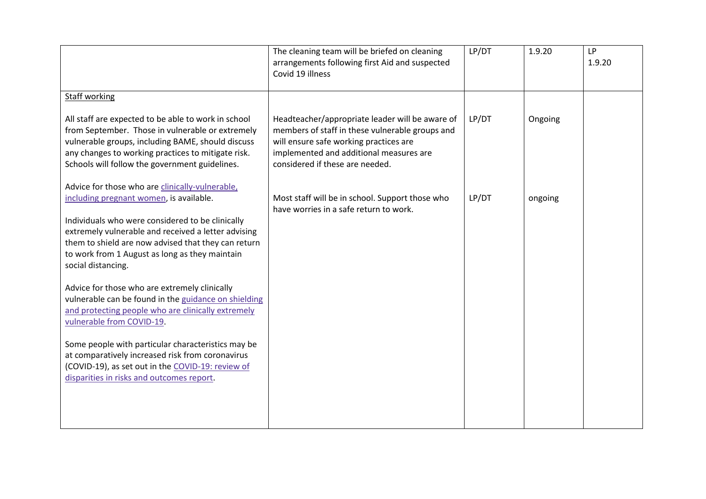|                                                                                                                                                                                                                                                                      | The cleaning team will be briefed on cleaning<br>arrangements following first Aid and suspected<br>Covid 19 illness                                                                                                        | LP/DT | 1.9.20  | <b>LP</b><br>1.9.20 |
|----------------------------------------------------------------------------------------------------------------------------------------------------------------------------------------------------------------------------------------------------------------------|----------------------------------------------------------------------------------------------------------------------------------------------------------------------------------------------------------------------------|-------|---------|---------------------|
| <b>Staff working</b>                                                                                                                                                                                                                                                 |                                                                                                                                                                                                                            |       |         |                     |
| All staff are expected to be able to work in school<br>from September. Those in vulnerable or extremely<br>vulnerable groups, including BAME, should discuss<br>any changes to working practices to mitigate risk.<br>Schools will follow the government guidelines. | Headteacher/appropriate leader will be aware of<br>members of staff in these vulnerable groups and<br>will ensure safe working practices are<br>implemented and additional measures are<br>considered if these are needed. | LP/DT | Ongoing |                     |
| Advice for those who are clinically-vulnerable,<br>including pregnant women, is available.<br>Individuals who were considered to be clinically<br>extremely vulnerable and received a letter advising                                                                | Most staff will be in school. Support those who<br>have worries in a safe return to work.                                                                                                                                  | LP/DT | ongoing |                     |
| them to shield are now advised that they can return<br>to work from 1 August as long as they maintain<br>social distancing.                                                                                                                                          |                                                                                                                                                                                                                            |       |         |                     |
| Advice for those who are extremely clinically<br>vulnerable can be found in the guidance on shielding<br>and protecting people who are clinically extremely<br>vulnerable from COVID-19.                                                                             |                                                                                                                                                                                                                            |       |         |                     |
| Some people with particular characteristics may be<br>at comparatively increased risk from coronavirus<br>(COVID-19), as set out in the COVID-19: review of<br>disparities in risks and outcomes report.                                                             |                                                                                                                                                                                                                            |       |         |                     |
|                                                                                                                                                                                                                                                                      |                                                                                                                                                                                                                            |       |         |                     |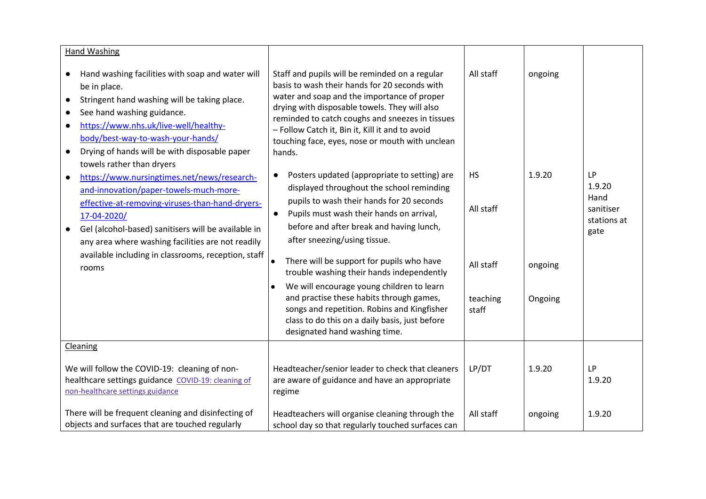| <b>Hand Washing</b>                                                                                                                                                                                                                                                                                                                                                         |                                                                                                                                                                                                                                                                                                                                                                                                                                                                             |                                                 |                              |                                                                 |
|-----------------------------------------------------------------------------------------------------------------------------------------------------------------------------------------------------------------------------------------------------------------------------------------------------------------------------------------------------------------------------|-----------------------------------------------------------------------------------------------------------------------------------------------------------------------------------------------------------------------------------------------------------------------------------------------------------------------------------------------------------------------------------------------------------------------------------------------------------------------------|-------------------------------------------------|------------------------------|-----------------------------------------------------------------|
| Hand washing facilities with soap and water will<br>$\bullet$<br>be in place.<br>Stringent hand washing will be taking place.<br>$\bullet$<br>See hand washing guidance.<br>$\bullet$<br>https://www.nhs.uk/live-well/healthy-<br>$\bullet$<br>body/best-way-to-wash-your-hands/<br>Drying of hands will be with disposable paper<br>$\bullet$<br>towels rather than dryers | Staff and pupils will be reminded on a regular<br>basis to wash their hands for 20 seconds with<br>water and soap and the importance of proper<br>drying with disposable towels. They will also<br>reminded to catch coughs and sneezes in tissues<br>- Follow Catch it, Bin it, Kill it and to avoid<br>touching face, eyes, nose or mouth with unclean<br>hands.                                                                                                          | All staff                                       | ongoing                      |                                                                 |
| https://www.nursingtimes.net/news/research-<br>$\bullet$<br>and-innovation/paper-towels-much-more-<br>effective-at-removing-viruses-than-hand-dryers-<br>17-04-2020/<br>Gel (alcohol-based) sanitisers will be available in<br>$\bullet$<br>any area where washing facilities are not readily<br>available including in classrooms, reception, staff<br>rooms               | Posters updated (appropriate to setting) are<br>$\bullet$<br>displayed throughout the school reminding<br>pupils to wash their hands for 20 seconds<br>Pupils must wash their hands on arrival,<br>$\bullet$<br>before and after break and having lunch,<br>after sneezing/using tissue.<br>There will be support for pupils who have<br>trouble washing their hands independently<br>We will encourage young children to learn<br>and practise these habits through games, | <b>HS</b><br>All staff<br>All staff<br>teaching | 1.9.20<br>ongoing<br>Ongoing | <b>LP</b><br>1.9.20<br>Hand<br>sanitiser<br>stations at<br>gate |
|                                                                                                                                                                                                                                                                                                                                                                             | songs and repetition. Robins and Kingfisher<br>class to do this on a daily basis, just before<br>designated hand washing time.                                                                                                                                                                                                                                                                                                                                              | staff                                           |                              |                                                                 |
| Cleaning                                                                                                                                                                                                                                                                                                                                                                    |                                                                                                                                                                                                                                                                                                                                                                                                                                                                             |                                                 |                              |                                                                 |
| We will follow the COVID-19: cleaning of non-<br>healthcare settings guidance COVID-19: cleaning of<br>non-healthcare settings guidance                                                                                                                                                                                                                                     | Headteacher/senior leader to check that cleaners<br>are aware of guidance and have an appropriate<br>regime                                                                                                                                                                                                                                                                                                                                                                 | LP/DT                                           | 1.9.20                       | <b>LP</b><br>1.9.20                                             |
| There will be frequent cleaning and disinfecting of<br>objects and surfaces that are touched regularly                                                                                                                                                                                                                                                                      | Headteachers will organise cleaning through the<br>school day so that regularly touched surfaces can                                                                                                                                                                                                                                                                                                                                                                        | All staff                                       | ongoing                      | 1.9.20                                                          |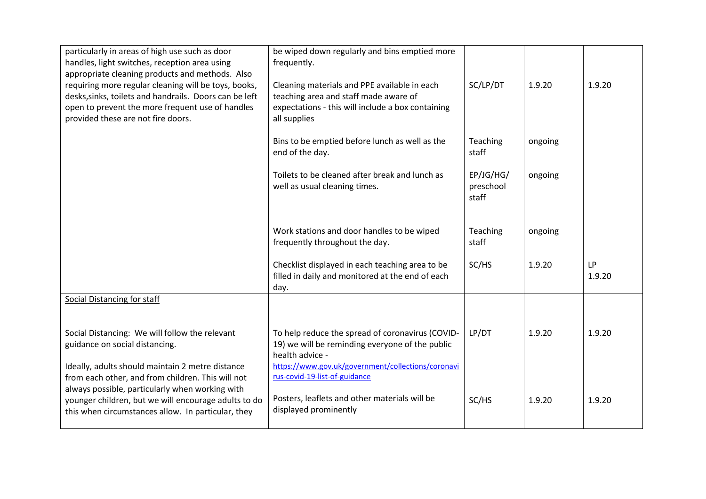| particularly in areas of high use such as door<br>handles, light switches, reception area using<br>appropriate cleaning products and methods. Also                                                       | be wiped down regularly and bins emptied more<br>frequently.                                                                                               |                                 |         |                     |
|----------------------------------------------------------------------------------------------------------------------------------------------------------------------------------------------------------|------------------------------------------------------------------------------------------------------------------------------------------------------------|---------------------------------|---------|---------------------|
| requiring more regular cleaning will be toys, books,<br>desks, sinks, toilets and handrails. Doors can be left<br>open to prevent the more frequent use of handles<br>provided these are not fire doors. | Cleaning materials and PPE available in each<br>teaching area and staff made aware of<br>expectations - this will include a box containing<br>all supplies | SC/LP/DT                        | 1.9.20  | 1.9.20              |
|                                                                                                                                                                                                          | Bins to be emptied before lunch as well as the<br>end of the day.                                                                                          | Teaching<br>staff               | ongoing |                     |
|                                                                                                                                                                                                          | Toilets to be cleaned after break and lunch as<br>well as usual cleaning times.                                                                            | EP/JG/HG/<br>preschool<br>staff | ongoing |                     |
|                                                                                                                                                                                                          | Work stations and door handles to be wiped<br>frequently throughout the day.                                                                               | Teaching<br>staff               | ongoing |                     |
|                                                                                                                                                                                                          | Checklist displayed in each teaching area to be<br>filled in daily and monitored at the end of each<br>day.                                                | SC/HS                           | 1.9.20  | <b>LP</b><br>1.9.20 |
| <b>Social Distancing for staff</b>                                                                                                                                                                       |                                                                                                                                                            |                                 |         |                     |
| Social Distancing: We will follow the relevant<br>guidance on social distancing.                                                                                                                         | To help reduce the spread of coronavirus (COVID-<br>19) we will be reminding everyone of the public<br>health advice -                                     | LP/DT                           | 1.9.20  | 1.9.20              |
| Ideally, adults should maintain 2 metre distance<br>from each other, and from children. This will not                                                                                                    | https://www.gov.uk/government/collections/coronavi<br>rus-covid-19-list-of-guidance                                                                        |                                 |         |                     |
| always possible, particularly when working with<br>younger children, but we will encourage adults to do<br>this when circumstances allow. In particular, they                                            | Posters, leaflets and other materials will be<br>displayed prominently                                                                                     | SC/HS                           | 1.9.20  | 1.9.20              |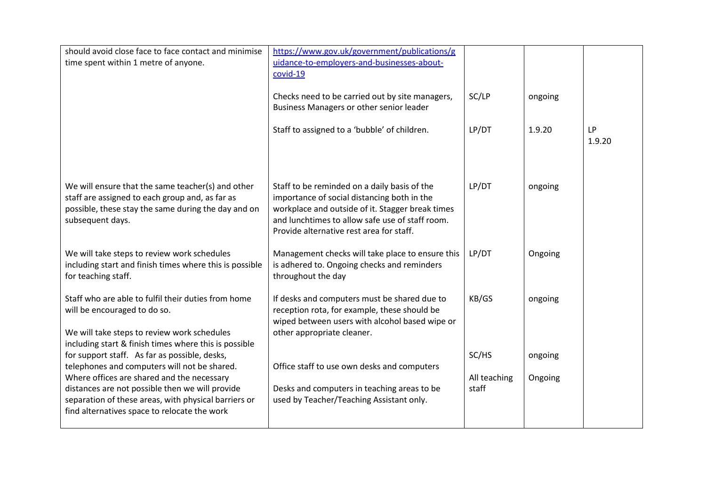| should avoid close face to face contact and minimise<br>time spent within 1 metre of anyone.                                                                                                          | https://www.gov.uk/government/publications/g<br>uidance-to-employers-and-businesses-about-<br>covid-19                                                                                                                                         |                       |         |                     |
|-------------------------------------------------------------------------------------------------------------------------------------------------------------------------------------------------------|------------------------------------------------------------------------------------------------------------------------------------------------------------------------------------------------------------------------------------------------|-----------------------|---------|---------------------|
|                                                                                                                                                                                                       | Checks need to be carried out by site managers,<br>Business Managers or other senior leader                                                                                                                                                    | SC/LP                 | ongoing |                     |
|                                                                                                                                                                                                       | Staff to assigned to a 'bubble' of children.                                                                                                                                                                                                   | LP/DT                 | 1.9.20  | <b>LP</b><br>1.9.20 |
| We will ensure that the same teacher(s) and other<br>staff are assigned to each group and, as far as<br>possible, these stay the same during the day and on<br>subsequent days.                       | Staff to be reminded on a daily basis of the<br>importance of social distancing both in the<br>workplace and outside of it. Stagger break times<br>and lunchtimes to allow safe use of staff room.<br>Provide alternative rest area for staff. | LP/DT                 | ongoing |                     |
| We will take steps to review work schedules<br>including start and finish times where this is possible<br>for teaching staff.                                                                         | Management checks will take place to ensure this<br>is adhered to. Ongoing checks and reminders<br>throughout the day                                                                                                                          | LP/DT                 | Ongoing |                     |
| Staff who are able to fulfil their duties from home<br>will be encouraged to do so.<br>We will take steps to review work schedules<br>including start & finish times where this is possible           | If desks and computers must be shared due to<br>reception rota, for example, these should be<br>wiped between users with alcohol based wipe or<br>other appropriate cleaner.                                                                   | KB/GS                 | ongoing |                     |
| for support staff. As far as possible, desks,<br>telephones and computers will not be shared.                                                                                                         | Office staff to use own desks and computers                                                                                                                                                                                                    | SC/HS                 | ongoing |                     |
| Where offices are shared and the necessary<br>distances are not possible then we will provide<br>separation of these areas, with physical barriers or<br>find alternatives space to relocate the work | Desks and computers in teaching areas to be<br>used by Teacher/Teaching Assistant only.                                                                                                                                                        | All teaching<br>staff | Ongoing |                     |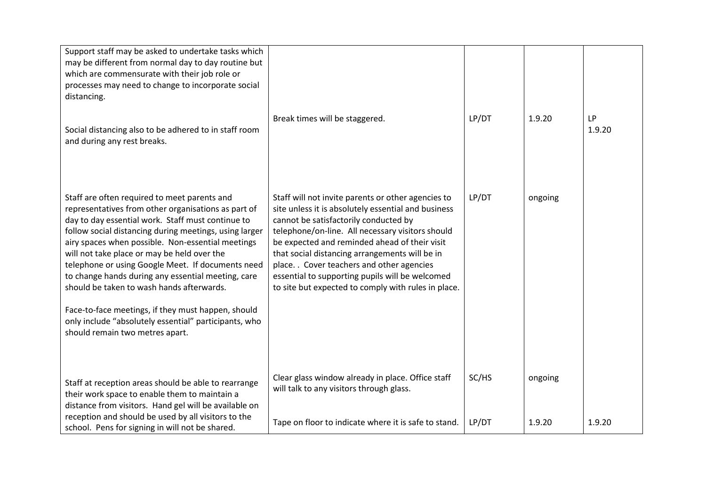| Support staff may be asked to undertake tasks which<br>may be different from normal day to day routine but<br>which are commensurate with their job role or<br>processes may need to change to incorporate social<br>distancing.<br>Social distancing also to be adhered to in staff room<br>and during any rest breaks.                                                                                                                                                                                                                                                                                                         | Break times will be staggered.                                                                                                                                                                                                                                                                                                                                                                                                                                    | LP/DT          | 1.9.20            | <b>LP</b><br>1.9.20 |
|----------------------------------------------------------------------------------------------------------------------------------------------------------------------------------------------------------------------------------------------------------------------------------------------------------------------------------------------------------------------------------------------------------------------------------------------------------------------------------------------------------------------------------------------------------------------------------------------------------------------------------|-------------------------------------------------------------------------------------------------------------------------------------------------------------------------------------------------------------------------------------------------------------------------------------------------------------------------------------------------------------------------------------------------------------------------------------------------------------------|----------------|-------------------|---------------------|
| Staff are often required to meet parents and<br>representatives from other organisations as part of<br>day to day essential work. Staff must continue to<br>follow social distancing during meetings, using larger<br>airy spaces when possible. Non-essential meetings<br>will not take place or may be held over the<br>telephone or using Google Meet. If documents need<br>to change hands during any essential meeting, care<br>should be taken to wash hands afterwards.<br>Face-to-face meetings, if they must happen, should<br>only include "absolutely essential" participants, who<br>should remain two metres apart. | Staff will not invite parents or other agencies to<br>site unless it is absolutely essential and business<br>cannot be satisfactorily conducted by<br>telephone/on-line. All necessary visitors should<br>be expected and reminded ahead of their visit<br>that social distancing arrangements will be in<br>place. . Cover teachers and other agencies<br>essential to supporting pupils will be welcomed<br>to site but expected to comply with rules in place. | LP/DT          | ongoing           |                     |
| Staff at reception areas should be able to rearrange<br>their work space to enable them to maintain a<br>distance from visitors. Hand gel will be available on<br>reception and should be used by all visitors to the<br>school. Pens for signing in will not be shared.                                                                                                                                                                                                                                                                                                                                                         | Clear glass window already in place. Office staff<br>will talk to any visitors through glass.<br>Tape on floor to indicate where it is safe to stand.                                                                                                                                                                                                                                                                                                             | SC/HS<br>LP/DT | ongoing<br>1.9.20 | 1.9.20              |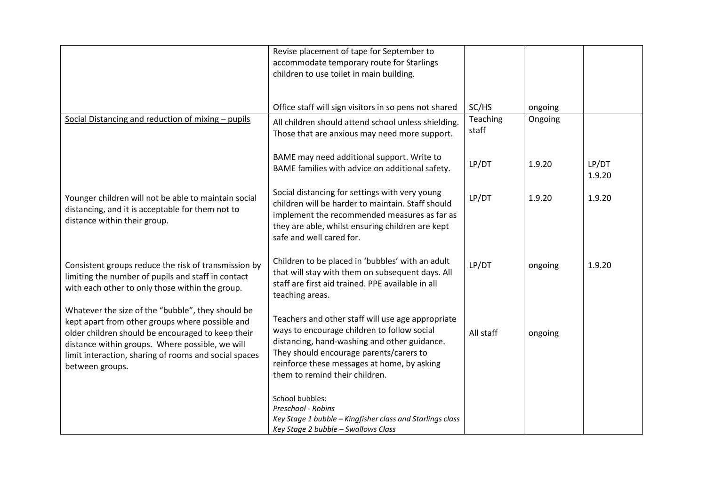|                                                                                                                                                                                                                                                                                          | Revise placement of tape for September to<br>accommodate temporary route for Starlings<br>children to use toilet in main building.                                                                                                                                           |                   |                    |                 |
|------------------------------------------------------------------------------------------------------------------------------------------------------------------------------------------------------------------------------------------------------------------------------------------|------------------------------------------------------------------------------------------------------------------------------------------------------------------------------------------------------------------------------------------------------------------------------|-------------------|--------------------|-----------------|
| Social Distancing and reduction of mixing - pupils                                                                                                                                                                                                                                       | Office staff will sign visitors in so pens not shared<br>All children should attend school unless shielding.                                                                                                                                                                 | SC/HS<br>Teaching | ongoing<br>Ongoing |                 |
|                                                                                                                                                                                                                                                                                          | Those that are anxious may need more support.<br>BAME may need additional support. Write to                                                                                                                                                                                  | staff             |                    |                 |
|                                                                                                                                                                                                                                                                                          | BAME families with advice on additional safety.                                                                                                                                                                                                                              | LP/DT             | 1.9.20             | LP/DT<br>1.9.20 |
| Younger children will not be able to maintain social<br>distancing, and it is acceptable for them not to<br>distance within their group.                                                                                                                                                 | Social distancing for settings with very young<br>children will be harder to maintain. Staff should<br>implement the recommended measures as far as<br>they are able, whilst ensuring children are kept<br>safe and well cared for.                                          | LP/DT             | 1.9.20             | 1.9.20          |
| Consistent groups reduce the risk of transmission by<br>limiting the number of pupils and staff in contact<br>with each other to only those within the group.                                                                                                                            | Children to be placed in 'bubbles' with an adult<br>that will stay with them on subsequent days. All<br>staff are first aid trained. PPE available in all<br>teaching areas.                                                                                                 | LP/DT             | ongoing            | 1.9.20          |
| Whatever the size of the "bubble", they should be<br>kept apart from other groups where possible and<br>older children should be encouraged to keep their<br>distance within groups. Where possible, we will<br>limit interaction, sharing of rooms and social spaces<br>between groups. | Teachers and other staff will use age appropriate<br>ways to encourage children to follow social<br>distancing, hand-washing and other guidance.<br>They should encourage parents/carers to<br>reinforce these messages at home, by asking<br>them to remind their children. | All staff         | ongoing            |                 |
|                                                                                                                                                                                                                                                                                          | School bubbles:<br>Preschool - Robins<br>Key Stage 1 bubble - Kingfisher class and Starlings class<br>Key Stage 2 bubble - Swallows Class                                                                                                                                    |                   |                    |                 |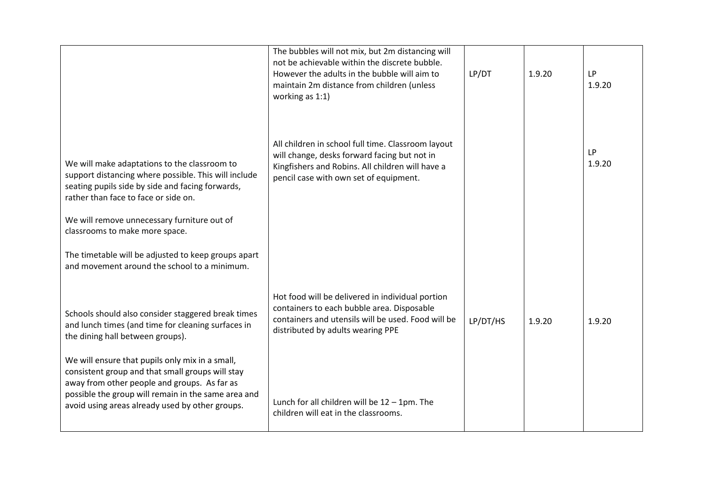|                                                                                                                                                                                                  | The bubbles will not mix, but 2m distancing will<br>not be achievable within the discrete bubble.<br>However the adults in the bubble will aim to<br>maintain 2m distance from children (unless<br>working as 1:1) | LP/DT    | 1.9.20 | <b>LP</b><br>1.9.20 |
|--------------------------------------------------------------------------------------------------------------------------------------------------------------------------------------------------|--------------------------------------------------------------------------------------------------------------------------------------------------------------------------------------------------------------------|----------|--------|---------------------|
| We will make adaptations to the classroom to<br>support distancing where possible. This will include<br>seating pupils side by side and facing forwards,<br>rather than face to face or side on. | All children in school full time. Classroom layout<br>will change, desks forward facing but not in<br>Kingfishers and Robins. All children will have a<br>pencil case with own set of equipment.                   |          |        | <b>LP</b><br>1.9.20 |
| We will remove unnecessary furniture out of<br>classrooms to make more space.                                                                                                                    |                                                                                                                                                                                                                    |          |        |                     |
| The timetable will be adjusted to keep groups apart<br>and movement around the school to a minimum.                                                                                              |                                                                                                                                                                                                                    |          |        |                     |
| Schools should also consider staggered break times<br>and lunch times (and time for cleaning surfaces in<br>the dining hall between groups).                                                     | Hot food will be delivered in individual portion<br>containers to each bubble area. Disposable<br>containers and utensils will be used. Food will be<br>distributed by adults wearing PPE                          | LP/DT/HS | 1.9.20 | 1.9.20              |
| We will ensure that pupils only mix in a small,<br>consistent group and that small groups will stay<br>away from other people and groups. As far as                                              |                                                                                                                                                                                                                    |          |        |                     |
| possible the group will remain in the same area and<br>avoid using areas already used by other groups.                                                                                           | Lunch for all children will be $12 - 1$ pm. The<br>children will eat in the classrooms.                                                                                                                            |          |        |                     |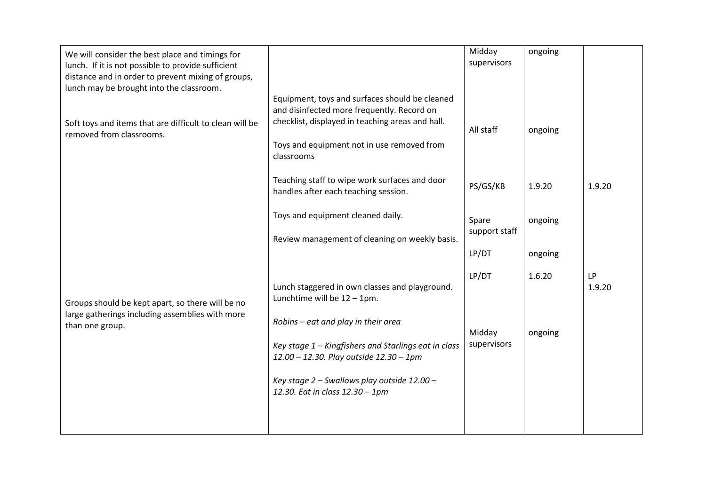| We will consider the best place and timings for<br>lunch. If it is not possible to provide sufficient<br>distance and in order to prevent mixing of groups,<br>lunch may be brought into the classroom. |                                                                                                                                                                                                              | Midday<br>supervisors  | ongoing |                     |
|---------------------------------------------------------------------------------------------------------------------------------------------------------------------------------------------------------|--------------------------------------------------------------------------------------------------------------------------------------------------------------------------------------------------------------|------------------------|---------|---------------------|
| Soft toys and items that are difficult to clean will be<br>removed from classrooms.                                                                                                                     | Equipment, toys and surfaces should be cleaned<br>and disinfected more frequently. Record on<br>checklist, displayed in teaching areas and hall.<br>Toys and equipment not in use removed from<br>classrooms | All staff              | ongoing |                     |
|                                                                                                                                                                                                         | Teaching staff to wipe work surfaces and door<br>handles after each teaching session.                                                                                                                        | PS/GS/KB               | 1.9.20  | 1.9.20              |
|                                                                                                                                                                                                         | Toys and equipment cleaned daily.<br>Review management of cleaning on weekly basis.                                                                                                                          | Spare<br>support staff | ongoing |                     |
|                                                                                                                                                                                                         |                                                                                                                                                                                                              | LP/DT                  | ongoing |                     |
| Groups should be kept apart, so there will be no<br>large gatherings including assemblies with more                                                                                                     | Lunch staggered in own classes and playground.<br>Lunchtime will be $12 - 1$ pm.                                                                                                                             | LP/DT                  | 1.6.20  | <b>LP</b><br>1.9.20 |
| than one group.                                                                                                                                                                                         | Robins - eat and play in their area<br>Key stage 1 - Kingfishers and Starlings eat in class<br>12.00 - 12.30. Play outside 12.30 - 1pm                                                                       | Midday<br>supervisors  | ongoing |                     |
|                                                                                                                                                                                                         | Key stage 2 - Swallows play outside 12.00 -<br>12.30. Eat in class 12.30 - 1pm                                                                                                                               |                        |         |                     |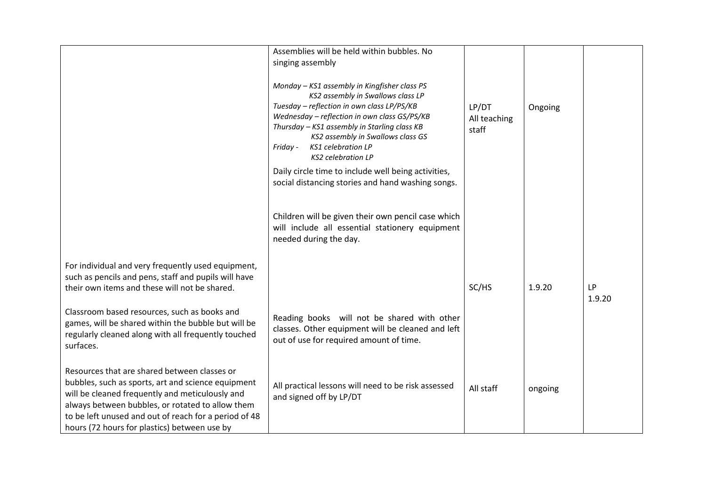|                                                                                                                                                                                                                                                                                                                    | Assemblies will be held within bubbles. No<br>singing assembly<br>Monday - KS1 assembly in Kingfisher class PS<br>KS2 assembly in Swallows class LP<br>Tuesday - reflection in own class LP/PS/KB<br>Wednesday - reflection in own class GS/PS/KB<br>Thursday - KS1 assembly in Starling class KB<br>KS2 assembly in Swallows class GS<br>KS1 celebration LP<br>Friday -<br><b>KS2</b> celebration LP<br>Daily circle time to include well being activities,<br>social distancing stories and hand washing songs. | LP/DT<br>All teaching<br>staff | Ongoing |                     |
|--------------------------------------------------------------------------------------------------------------------------------------------------------------------------------------------------------------------------------------------------------------------------------------------------------------------|-------------------------------------------------------------------------------------------------------------------------------------------------------------------------------------------------------------------------------------------------------------------------------------------------------------------------------------------------------------------------------------------------------------------------------------------------------------------------------------------------------------------|--------------------------------|---------|---------------------|
|                                                                                                                                                                                                                                                                                                                    | Children will be given their own pencil case which<br>will include all essential stationery equipment<br>needed during the day.                                                                                                                                                                                                                                                                                                                                                                                   |                                |         |                     |
| For individual and very frequently used equipment,<br>such as pencils and pens, staff and pupils will have<br>their own items and these will not be shared.<br>Classroom based resources, such as books and                                                                                                        |                                                                                                                                                                                                                                                                                                                                                                                                                                                                                                                   | SC/HS                          | 1.9.20  | <b>LP</b><br>1.9.20 |
| games, will be shared within the bubble but will be<br>regularly cleaned along with all frequently touched<br>surfaces.                                                                                                                                                                                            | Reading books will not be shared with other<br>classes. Other equipment will be cleaned and left<br>out of use for required amount of time.                                                                                                                                                                                                                                                                                                                                                                       |                                |         |                     |
| Resources that are shared between classes or<br>bubbles, such as sports, art and science equipment<br>will be cleaned frequently and meticulously and<br>always between bubbles, or rotated to allow them<br>to be left unused and out of reach for a period of 48<br>hours (72 hours for plastics) between use by | All practical lessons will need to be risk assessed<br>and signed off by LP/DT                                                                                                                                                                                                                                                                                                                                                                                                                                    | All staff                      | ongoing |                     |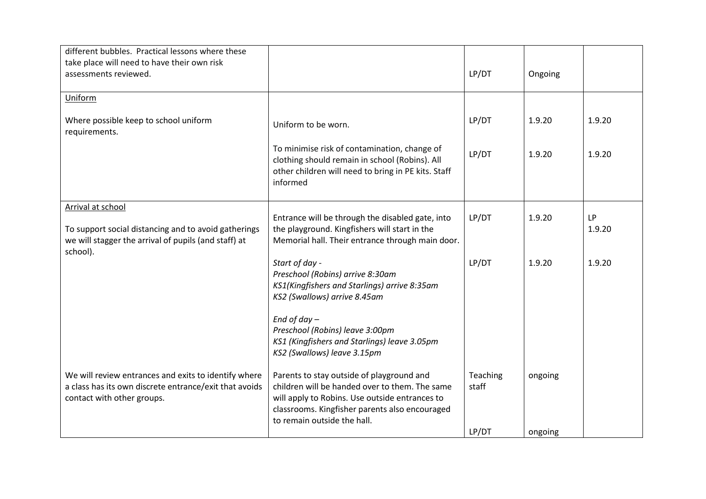|                                                                                                                                                                                                                                | LP/DT             | Ongoing |                     |
|--------------------------------------------------------------------------------------------------------------------------------------------------------------------------------------------------------------------------------|-------------------|---------|---------------------|
|                                                                                                                                                                                                                                |                   |         |                     |
| Uniform to be worn.                                                                                                                                                                                                            | LP/DT             | 1.9.20  | 1.9.20              |
| To minimise risk of contamination, change of<br>clothing should remain in school (Robins). All<br>other children will need to bring in PE kits. Staff<br>informed                                                              | LP/DT             | 1.9.20  | 1.9.20              |
| Entrance will be through the disabled gate, into<br>the playground. Kingfishers will start in the<br>Memorial hall. Their entrance through main door.                                                                          | LP/DT             | 1.9.20  | <b>LP</b><br>1.9.20 |
| Start of day -<br>Preschool (Robins) arrive 8:30am<br>KS1(Kingfishers and Starlings) arrive 8:35am<br>KS2 (Swallows) arrive 8.45am                                                                                             | LP/DT             | 1.9.20  | 1.9.20              |
| End of day $-$<br>Preschool (Robins) leave 3:00pm<br>KS1 (Kingfishers and Starlings) leave 3.05pm<br>KS2 (Swallows) leave 3.15pm                                                                                               |                   |         |                     |
| Parents to stay outside of playground and<br>children will be handed over to them. The same<br>will apply to Robins. Use outside entrances to<br>classrooms. Kingfisher parents also encouraged<br>to remain outside the hall. | Teaching<br>staff | ongoing |                     |
|                                                                                                                                                                                                                                |                   | LP/DT   | ongoing             |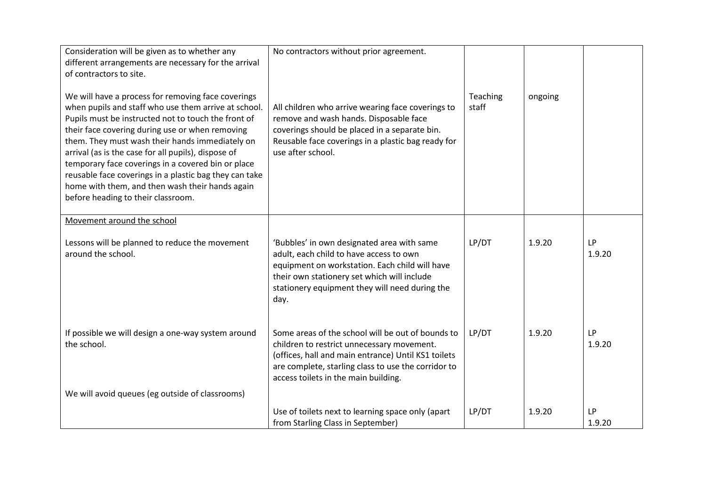| Consideration will be given as to whether any<br>different arrangements are necessary for the arrival<br>of contractors to site.<br>We will have a process for removing face coverings<br>when pupils and staff who use them arrive at school.<br>Pupils must be instructed not to touch the front of<br>their face covering during use or when removing<br>them. They must wash their hands immediately on<br>arrival (as is the case for all pupils), dispose of<br>temporary face coverings in a covered bin or place<br>reusable face coverings in a plastic bag they can take<br>home with them, and then wash their hands again<br>before heading to their classroom. | No contractors without prior agreement.<br>All children who arrive wearing face coverings to<br>remove and wash hands. Disposable face<br>coverings should be placed in a separate bin.<br>Reusable face coverings in a plastic bag ready for<br>use after school. | Teaching<br>staff | ongoing |                     |
|-----------------------------------------------------------------------------------------------------------------------------------------------------------------------------------------------------------------------------------------------------------------------------------------------------------------------------------------------------------------------------------------------------------------------------------------------------------------------------------------------------------------------------------------------------------------------------------------------------------------------------------------------------------------------------|--------------------------------------------------------------------------------------------------------------------------------------------------------------------------------------------------------------------------------------------------------------------|-------------------|---------|---------------------|
| Movement around the school                                                                                                                                                                                                                                                                                                                                                                                                                                                                                                                                                                                                                                                  |                                                                                                                                                                                                                                                                    |                   |         |                     |
| Lessons will be planned to reduce the movement<br>around the school.                                                                                                                                                                                                                                                                                                                                                                                                                                                                                                                                                                                                        | 'Bubbles' in own designated area with same<br>adult, each child to have access to own<br>equipment on workstation. Each child will have<br>their own stationery set which will include<br>stationery equipment they will need during the<br>day.                   | LP/DT             | 1.9.20  | <b>LP</b><br>1.9.20 |
| If possible we will design a one-way system around<br>the school.                                                                                                                                                                                                                                                                                                                                                                                                                                                                                                                                                                                                           | Some areas of the school will be out of bounds to<br>children to restrict unnecessary movement.<br>(offices, hall and main entrance) Until KS1 toilets<br>are complete, starling class to use the corridor to<br>access toilets in the main building.              | LP/DT             | 1.9.20  | <b>LP</b><br>1.9.20 |
| We will avoid queues (eg outside of classrooms)                                                                                                                                                                                                                                                                                                                                                                                                                                                                                                                                                                                                                             |                                                                                                                                                                                                                                                                    |                   |         |                     |
|                                                                                                                                                                                                                                                                                                                                                                                                                                                                                                                                                                                                                                                                             | Use of toilets next to learning space only (apart<br>from Starling Class in September)                                                                                                                                                                             | LP/DT             | 1.9.20  | <b>LP</b><br>1.9.20 |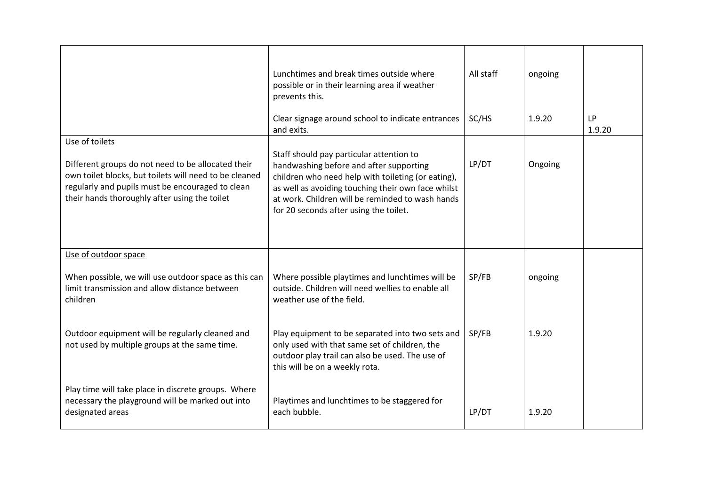|                                                                                                                                                                                                                                     | Lunchtimes and break times outside where<br>possible or in their learning area if weather<br>prevents this.                                                                                                                                                                                   | All staff | ongoing |                     |
|-------------------------------------------------------------------------------------------------------------------------------------------------------------------------------------------------------------------------------------|-----------------------------------------------------------------------------------------------------------------------------------------------------------------------------------------------------------------------------------------------------------------------------------------------|-----------|---------|---------------------|
|                                                                                                                                                                                                                                     | Clear signage around school to indicate entrances<br>and exits.                                                                                                                                                                                                                               | SC/HS     | 1.9.20  | <b>LP</b><br>1.9.20 |
| Use of toilets<br>Different groups do not need to be allocated their<br>own toilet blocks, but toilets will need to be cleaned<br>regularly and pupils must be encouraged to clean<br>their hands thoroughly after using the toilet | Staff should pay particular attention to<br>handwashing before and after supporting<br>children who need help with toileting (or eating),<br>as well as avoiding touching their own face whilst<br>at work. Children will be reminded to wash hands<br>for 20 seconds after using the toilet. | LP/DT     | Ongoing |                     |
| Use of outdoor space                                                                                                                                                                                                                |                                                                                                                                                                                                                                                                                               |           |         |                     |
| When possible, we will use outdoor space as this can<br>limit transmission and allow distance between<br>children                                                                                                                   | Where possible playtimes and lunchtimes will be<br>outside. Children will need wellies to enable all<br>weather use of the field.                                                                                                                                                             | SP/FB     | ongoing |                     |
| Outdoor equipment will be regularly cleaned and<br>not used by multiple groups at the same time.                                                                                                                                    | Play equipment to be separated into two sets and<br>only used with that same set of children, the<br>outdoor play trail can also be used. The use of<br>this will be on a weekly rota.                                                                                                        | SP/FB     | 1.9.20  |                     |
| Play time will take place in discrete groups. Where<br>necessary the playground will be marked out into<br>designated areas                                                                                                         | Playtimes and lunchtimes to be staggered for<br>each bubble.                                                                                                                                                                                                                                  | LP/DT     | 1.9.20  |                     |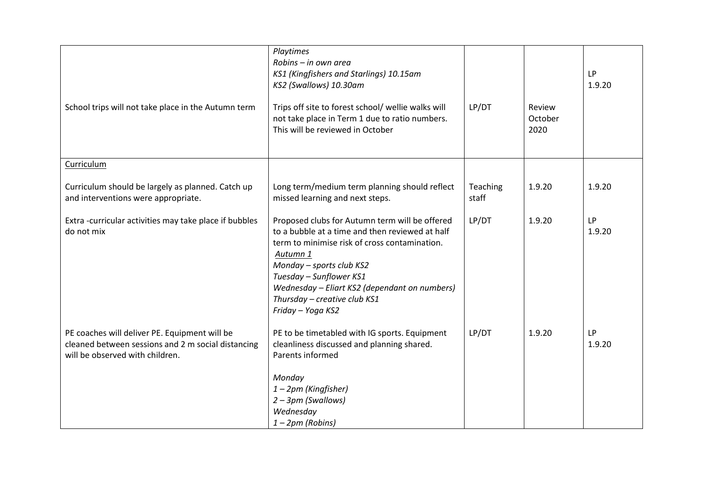| School trips will not take place in the Autumn term                                                                                    | Playtimes<br>Robins - in own area<br>KS1 (Kingfishers and Starlings) 10.15am<br>KS2 (Swallows) 10.30am<br>Trips off site to forest school/ wellie walks will<br>not take place in Term 1 due to ratio numbers.<br>This will be reviewed in October                                                                          | LP/DT             | Review<br>October<br>2020 | <b>LP</b><br>1.9.20 |
|----------------------------------------------------------------------------------------------------------------------------------------|-----------------------------------------------------------------------------------------------------------------------------------------------------------------------------------------------------------------------------------------------------------------------------------------------------------------------------|-------------------|---------------------------|---------------------|
| Curriculum                                                                                                                             |                                                                                                                                                                                                                                                                                                                             |                   |                           |                     |
| Curriculum should be largely as planned. Catch up<br>and interventions were appropriate.                                               | Long term/medium term planning should reflect<br>missed learning and next steps.                                                                                                                                                                                                                                            | Teaching<br>staff | 1.9.20                    | 1.9.20              |
| Extra-curricular activities may take place if bubbles<br>do not mix                                                                    | Proposed clubs for Autumn term will be offered<br>to a bubble at a time and then reviewed at half<br>term to minimise risk of cross contamination.<br>Autumn 1<br>Monday - sports club KS2<br>Tuesday - Sunflower KS1<br>Wednesday - Eliart KS2 (dependant on numbers)<br>Thursday - creative club KS1<br>Friday - Yoga KS2 | LP/DT             | 1.9.20                    | <b>LP</b><br>1.9.20 |
| PE coaches will deliver PE. Equipment will be<br>cleaned between sessions and 2 m social distancing<br>will be observed with children. | PE to be timetabled with IG sports. Equipment<br>cleanliness discussed and planning shared.<br>Parents informed<br>Monday<br>1-2pm (Kingfisher)<br>2 - 3pm (Swallows)<br>Wednesday<br>$1 - 2pm$ (Robins)                                                                                                                    | LP/DT             | 1.9.20                    | <b>LP</b><br>1.9.20 |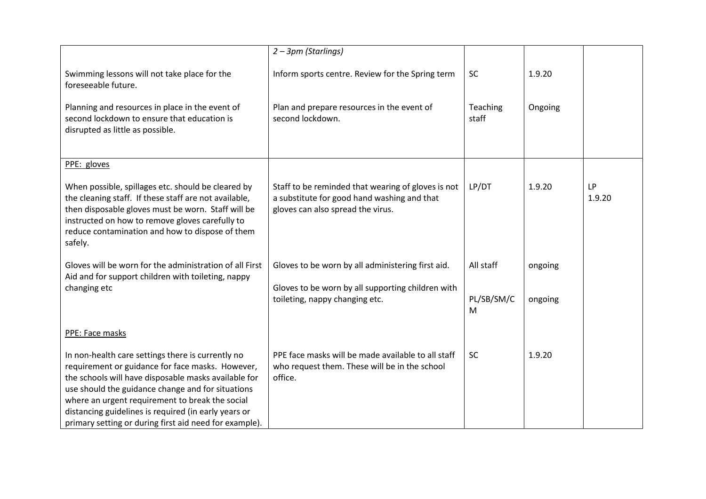|                                                                                                                                                                                                                                                                                                                               | 2 - 3pm (Starlings)                                                                                                                    |                   |         |                     |
|-------------------------------------------------------------------------------------------------------------------------------------------------------------------------------------------------------------------------------------------------------------------------------------------------------------------------------|----------------------------------------------------------------------------------------------------------------------------------------|-------------------|---------|---------------------|
| Swimming lessons will not take place for the<br>foreseeable future.                                                                                                                                                                                                                                                           | Inform sports centre. Review for the Spring term                                                                                       | SC                | 1.9.20  |                     |
| Planning and resources in place in the event of<br>second lockdown to ensure that education is<br>disrupted as little as possible.                                                                                                                                                                                            | Plan and prepare resources in the event of<br>second lockdown.                                                                         | Teaching<br>staff | Ongoing |                     |
| PPE: gloves                                                                                                                                                                                                                                                                                                                   |                                                                                                                                        |                   |         |                     |
| When possible, spillages etc. should be cleared by<br>the cleaning staff. If these staff are not available,<br>then disposable gloves must be worn. Staff will be<br>instructed on how to remove gloves carefully to<br>reduce contamination and how to dispose of them<br>safely.                                            | Staff to be reminded that wearing of gloves is not<br>a substitute for good hand washing and that<br>gloves can also spread the virus. | LP/DT             | 1.9.20  | <b>LP</b><br>1.9.20 |
| Gloves will be worn for the administration of all First<br>Aid and for support children with toileting, nappy                                                                                                                                                                                                                 | Gloves to be worn by all administering first aid.                                                                                      | All staff         | ongoing |                     |
| changing etc                                                                                                                                                                                                                                                                                                                  | Gloves to be worn by all supporting children with<br>toileting, nappy changing etc.                                                    | PL/SB/SM/C<br>M   | ongoing |                     |
| PPE: Face masks                                                                                                                                                                                                                                                                                                               |                                                                                                                                        |                   |         |                     |
| In non-health care settings there is currently no<br>requirement or guidance for face masks. However,<br>the schools will have disposable masks available for<br>use should the guidance change and for situations<br>where an urgent requirement to break the social<br>distancing guidelines is required (in early years or | PPE face masks will be made available to all staff<br>who request them. These will be in the school<br>office.                         | SC                | 1.9.20  |                     |
| primary setting or during first aid need for example).                                                                                                                                                                                                                                                                        |                                                                                                                                        |                   |         |                     |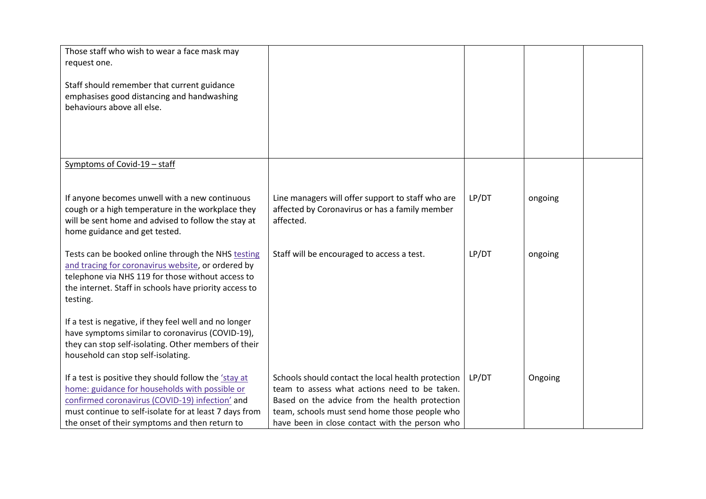| Those staff who wish to wear a face mask may<br>request one.<br>Staff should remember that current guidance<br>emphasises good distancing and handwashing<br>behaviours above all else.                                                                                       |                                                                                                                                                                                                                                                          |       |         |  |
|-------------------------------------------------------------------------------------------------------------------------------------------------------------------------------------------------------------------------------------------------------------------------------|----------------------------------------------------------------------------------------------------------------------------------------------------------------------------------------------------------------------------------------------------------|-------|---------|--|
|                                                                                                                                                                                                                                                                               |                                                                                                                                                                                                                                                          |       |         |  |
| Symptoms of Covid-19 - staff                                                                                                                                                                                                                                                  |                                                                                                                                                                                                                                                          |       |         |  |
| If anyone becomes unwell with a new continuous<br>cough or a high temperature in the workplace they<br>will be sent home and advised to follow the stay at<br>home guidance and get tested.                                                                                   | Line managers will offer support to staff who are<br>affected by Coronavirus or has a family member<br>affected.                                                                                                                                         | LP/DT | ongoing |  |
| Tests can be booked online through the NHS testing<br>and tracing for coronavirus website, or ordered by<br>telephone via NHS 119 for those without access to<br>the internet. Staff in schools have priority access to<br>testing.                                           | Staff will be encouraged to access a test.                                                                                                                                                                                                               | LP/DT | ongoing |  |
| If a test is negative, if they feel well and no longer<br>have symptoms similar to coronavirus (COVID-19),<br>they can stop self-isolating. Other members of their<br>household can stop self-isolating.                                                                      |                                                                                                                                                                                                                                                          |       |         |  |
| If a test is positive they should follow the <i>'stay at</i><br>home: guidance for households with possible or<br>confirmed coronavirus (COVID-19) infection' and<br>must continue to self-isolate for at least 7 days from<br>the onset of their symptoms and then return to | Schools should contact the local health protection<br>team to assess what actions need to be taken.<br>Based on the advice from the health protection<br>team, schools must send home those people who<br>have been in close contact with the person who | LP/DT | Ongoing |  |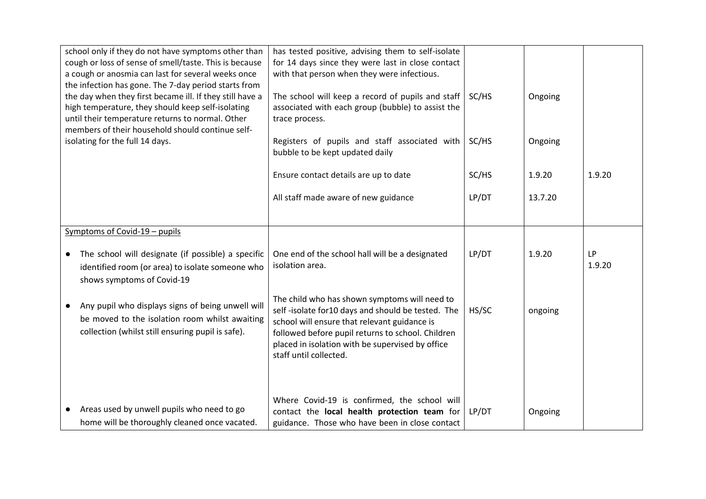| school only if they do not have symptoms other than<br>cough or loss of sense of smell/taste. This is because<br>a cough or anosmia can last for several weeks once<br>the infection has gone. The 7-day period starts from<br>the day when they first became ill. If they still have a<br>high temperature, they should keep self-isolating<br>until their temperature returns to normal. Other | has tested positive, advising them to self-isolate<br>for 14 days since they were last in close contact<br>with that person when they were infectious.<br>The school will keep a record of pupils and staff<br>associated with each group (bubble) to assist the<br>trace process.    | SC/HS | Ongoing |                     |
|--------------------------------------------------------------------------------------------------------------------------------------------------------------------------------------------------------------------------------------------------------------------------------------------------------------------------------------------------------------------------------------------------|---------------------------------------------------------------------------------------------------------------------------------------------------------------------------------------------------------------------------------------------------------------------------------------|-------|---------|---------------------|
| members of their household should continue self-<br>isolating for the full 14 days.                                                                                                                                                                                                                                                                                                              | Registers of pupils and staff associated with<br>bubble to be kept updated daily                                                                                                                                                                                                      | SC/HS | Ongoing |                     |
|                                                                                                                                                                                                                                                                                                                                                                                                  | Ensure contact details are up to date                                                                                                                                                                                                                                                 | SC/HS | 1.9.20  | 1.9.20              |
|                                                                                                                                                                                                                                                                                                                                                                                                  | All staff made aware of new guidance                                                                                                                                                                                                                                                  | LP/DT | 13.7.20 |                     |
| Symptoms of Covid-19 - pupils                                                                                                                                                                                                                                                                                                                                                                    |                                                                                                                                                                                                                                                                                       |       |         |                     |
| The school will designate (if possible) a specific<br>$\bullet$<br>identified room (or area) to isolate someone who<br>shows symptoms of Covid-19                                                                                                                                                                                                                                                | One end of the school hall will be a designated<br>isolation area.                                                                                                                                                                                                                    | LP/DT | 1.9.20  | <b>LP</b><br>1.9.20 |
| Any pupil who displays signs of being unwell will<br>be moved to the isolation room whilst awaiting<br>collection (whilst still ensuring pupil is safe).                                                                                                                                                                                                                                         | The child who has shown symptoms will need to<br>self-isolate for10 days and should be tested. The<br>school will ensure that relevant guidance is<br>followed before pupil returns to school. Children<br>placed in isolation with be supervised by office<br>staff until collected. | HS/SC | ongoing |                     |
| Areas used by unwell pupils who need to go<br>home will be thoroughly cleaned once vacated.                                                                                                                                                                                                                                                                                                      | Where Covid-19 is confirmed, the school will<br>contact the local health protection team for<br>guidance. Those who have been in close contact                                                                                                                                        | LP/DT | Ongoing |                     |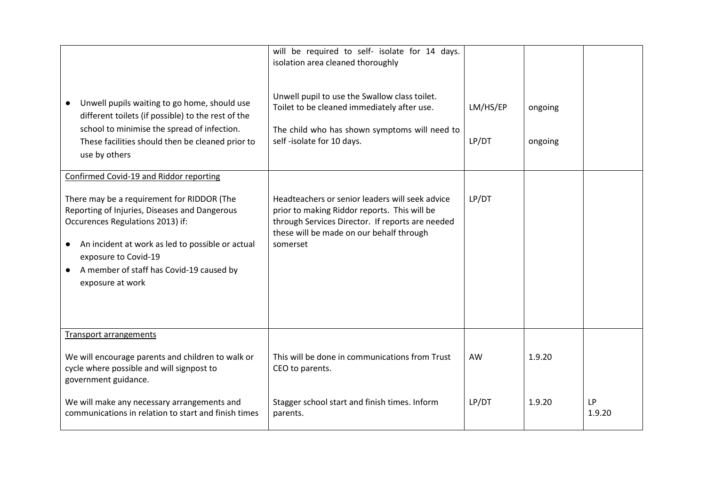| Unwell pupils waiting to go home, should use<br>different toilets (if possible) to the rest of the<br>school to minimise the spread of infection.<br>These facilities should then be cleaned prior to<br>use by others                                                                                                              | will be required to self- isolate for 14 days.<br>isolation area cleaned thoroughly<br>Unwell pupil to use the Swallow class toilet.<br>Toilet to be cleaned immediately after use.<br>The child who has shown symptoms will need to<br>self-isolate for 10 days. | LM/HS/EP<br>LP/DT | ongoing<br>ongoing |                     |
|-------------------------------------------------------------------------------------------------------------------------------------------------------------------------------------------------------------------------------------------------------------------------------------------------------------------------------------|-------------------------------------------------------------------------------------------------------------------------------------------------------------------------------------------------------------------------------------------------------------------|-------------------|--------------------|---------------------|
| Confirmed Covid-19 and Riddor reporting<br>There may be a requirement for RIDDOR (The<br>Reporting of Injuries, Diseases and Dangerous<br>Occurences Regulations 2013) if:<br>An incident at work as led to possible or actual<br>$\bullet$<br>exposure to Covid-19<br>A member of staff has Covid-19 caused by<br>exposure at work | Headteachers or senior leaders will seek advice<br>prior to making Riddor reports. This will be<br>through Services Director. If reports are needed<br>these will be made on our behalf through<br>somerset                                                       | LP/DT             |                    |                     |
| <b>Transport arrangements</b><br>We will encourage parents and children to walk or<br>cycle where possible and will signpost to<br>government guidance.                                                                                                                                                                             | This will be done in communications from Trust<br>CEO to parents.                                                                                                                                                                                                 | AW                | 1.9.20             |                     |
| We will make any necessary arrangements and<br>communications in relation to start and finish times                                                                                                                                                                                                                                 | Stagger school start and finish times. Inform<br>parents.                                                                                                                                                                                                         | LP/DT             | 1.9.20             | <b>LP</b><br>1.9.20 |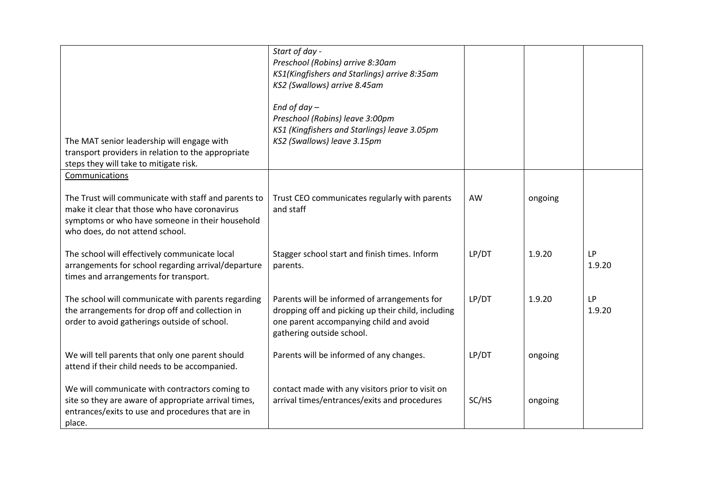| The MAT senior leadership will engage with<br>transport providers in relation to the appropriate<br>steps they will take to mitigate risk.                                                  | Start of day -<br>Preschool (Robins) arrive 8:30am<br>KS1(Kingfishers and Starlings) arrive 8:35am<br>KS2 (Swallows) arrive 8.45am<br>End of day $-$<br>Preschool (Robins) leave 3:00pm<br>KS1 (Kingfishers and Starlings) leave 3.05pm<br>KS2 (Swallows) leave 3.15pm |       |         |                     |
|---------------------------------------------------------------------------------------------------------------------------------------------------------------------------------------------|------------------------------------------------------------------------------------------------------------------------------------------------------------------------------------------------------------------------------------------------------------------------|-------|---------|---------------------|
| Communications                                                                                                                                                                              |                                                                                                                                                                                                                                                                        |       |         |                     |
| The Trust will communicate with staff and parents to<br>make it clear that those who have coronavirus<br>symptoms or who have someone in their household<br>who does, do not attend school. | Trust CEO communicates regularly with parents<br>and staff                                                                                                                                                                                                             | AW    | ongoing |                     |
| The school will effectively communicate local<br>arrangements for school regarding arrival/departure<br>times and arrangements for transport.                                               | Stagger school start and finish times. Inform<br>parents.                                                                                                                                                                                                              | LP/DT | 1.9.20  | <b>LP</b><br>1.9.20 |
| The school will communicate with parents regarding<br>the arrangements for drop off and collection in<br>order to avoid gatherings outside of school.                                       | Parents will be informed of arrangements for<br>dropping off and picking up their child, including<br>one parent accompanying child and avoid<br>gathering outside school.                                                                                             | LP/DT | 1.9.20  | <b>LP</b><br>1.9.20 |
| We will tell parents that only one parent should<br>attend if their child needs to be accompanied.                                                                                          | Parents will be informed of any changes.                                                                                                                                                                                                                               | LP/DT | ongoing |                     |
| We will communicate with contractors coming to<br>site so they are aware of appropriate arrival times,<br>entrances/exits to use and procedures that are in<br>place.                       | contact made with any visitors prior to visit on<br>arrival times/entrances/exits and procedures                                                                                                                                                                       | SC/HS | ongoing |                     |